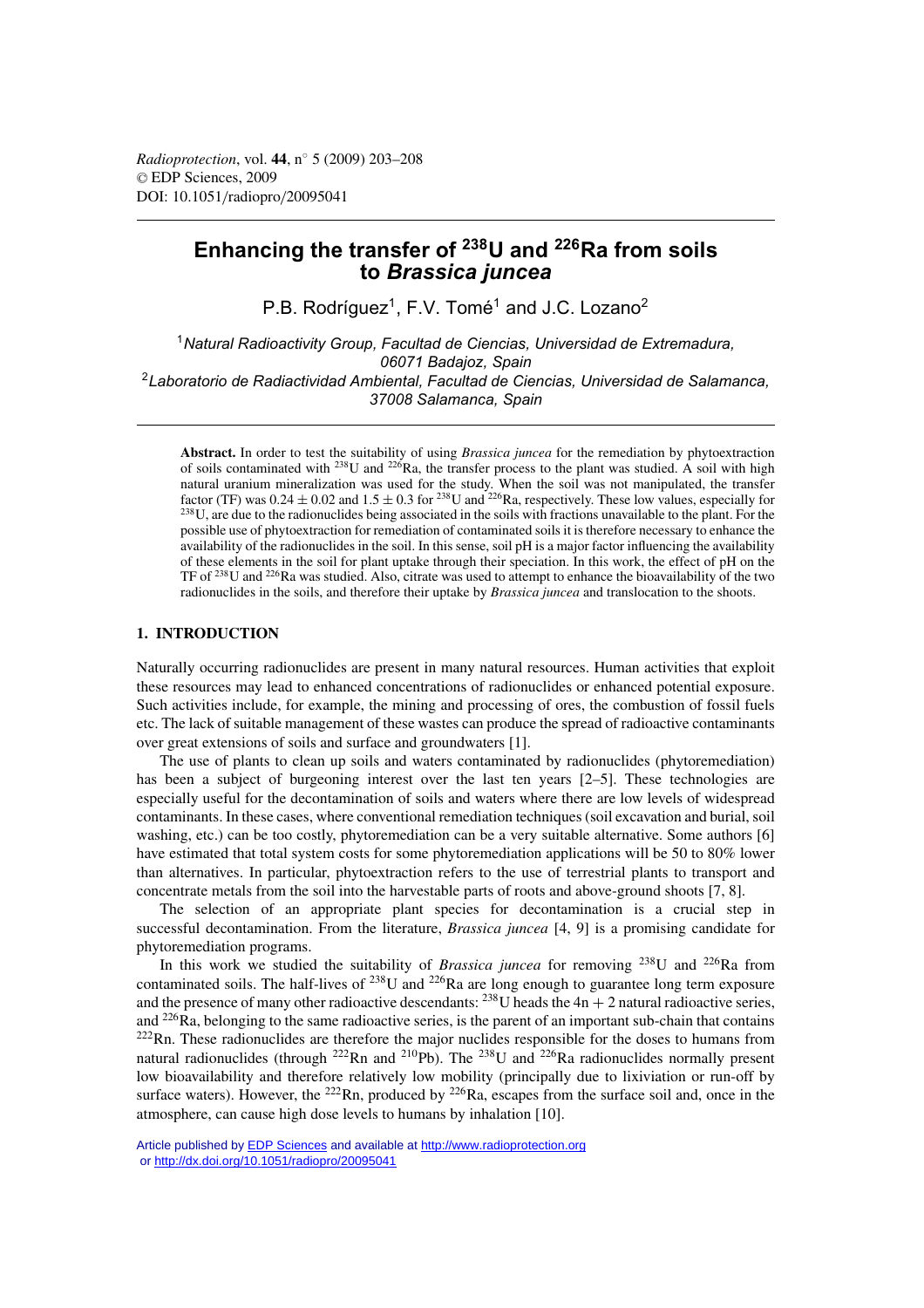# **Enhancing the transfer of 238U and 226Ra from soils to** *Brassica juncea*

P.B. Rodríguez<sup>1</sup>, F.V. Tomé<sup>1</sup> and J.C. Lozano<sup>2</sup>

1*Natural Radioactivity Group, Facultad de Ciencias, Universidad de Extremadura, 06071 Badajoz, Spain* 2*Laboratorio de Radiactividad Ambiental, Facultad de Ciencias, Universidad de Salamanca, 37008 Salamanca, Spain*

**Abstract.** In order to test the suitability of using *Brassica juncea* for the remediation by phytoextraction of soils contaminated with  $^{238}$ U and  $^{226}$ Ra, the transfer process to the plant was studied. A soil with high natural uranium mineralization was used for the study. When the soil was not manipulated, the transfer factor (TF) was  $0.24 \pm 0.02$  and  $1.5 \pm 0.3$  for <sup>238</sup>U and <sup>226</sup>Ra, respectively. These low values, especially for  $^{238}$ U, are due to the radionuclides being associated in the soils with fractions unavailable to the plant. For the possible use of phytoextraction for remediation of contaminated soils it is therefore necessary to enhance the availability of the radionuclides in the soil. In this sense, soil pH is a major factor influencing the availability of these elements in the soil for plant uptake through their speciation. In this work, the effect of pH on the TF of 238U and 226Ra was studied. Also, citrate was used to attempt to enhance the bioavailability of the two radionuclides in the soils, and therefore their uptake by *Brassica juncea* and translocation to the shoots.

## **1. INTRODUCTION**

Naturally occurring radionuclides are present in many natural resources. Human activities that exploit these resources may lead to enhanced concentrations of radionuclides or enhanced potential exposure. Such activities include, for example, the mining and processing of ores, the combustion of fossil fuels etc. The lack of suitable management of these wastes can produce the spread of radioactive contaminants over great extensions of soils and surface and groundwaters [1].

The use of plants to clean up soils and waters contaminated by radionuclides (phytoremediation) has been a subject of burgeoning interest over the last ten years [2–5]. These technologies are especially useful for the decontamination of soils and waters where there are low levels of widespread contaminants. In these cases, where conventional remediation techniques (soil excavation and burial, soil washing, etc.) can be too costly, phytoremediation can be a very suitable alternative. Some authors [6] have estimated that total system costs for some phytoremediation applications will be 50 to 80% lower than alternatives. In particular, phytoextraction refers to the use of terrestrial plants to transport and concentrate metals from the soil into the harvestable parts of roots and above-ground shoots [7, 8].

The selection of an appropriate plant species for decontamination is a crucial step in successful decontamination. From the literature, *Brassica juncea* [4, 9] is a promising candidate for phytoremediation programs.

In this work we studied the suitability of *Brassica juncea* for removing 238U and 226Ra from contaminated soils. The half-lives of <sup>238</sup>U and <sup>226</sup>Ra are long enough to guarantee long term exposure and the presence of many other radioactive descendants:  $^{238}$ U heads the  $4n + 2$  natural radioactive series, and 226Ra, belonging to the same radioactive series, is the parent of an important sub-chain that contains  $222$ Rn. These radionuclides are therefore the major nuclides responsible for the doses to humans from natural radionuclides (through <sup>222</sup>Rn and <sup>210</sup>Pb). The <sup>238</sup>U and <sup>226</sup>Ra radionuclides normally present low bioavailability and therefore relatively low mobility (principally due to lixiviation or run-off by surface waters). However, the <sup>222</sup>Rn, produced by <sup>226</sup>Ra, escapes from the surface soil and, once in the atmosphere, can cause high dose levels to humans by inhalation [10].

Article published by [EDP Sciences](http://www.edpsciences.org) and available at<http://www.radioprotection.org> or <http://dx.doi.org/10.1051/radiopro/20095041>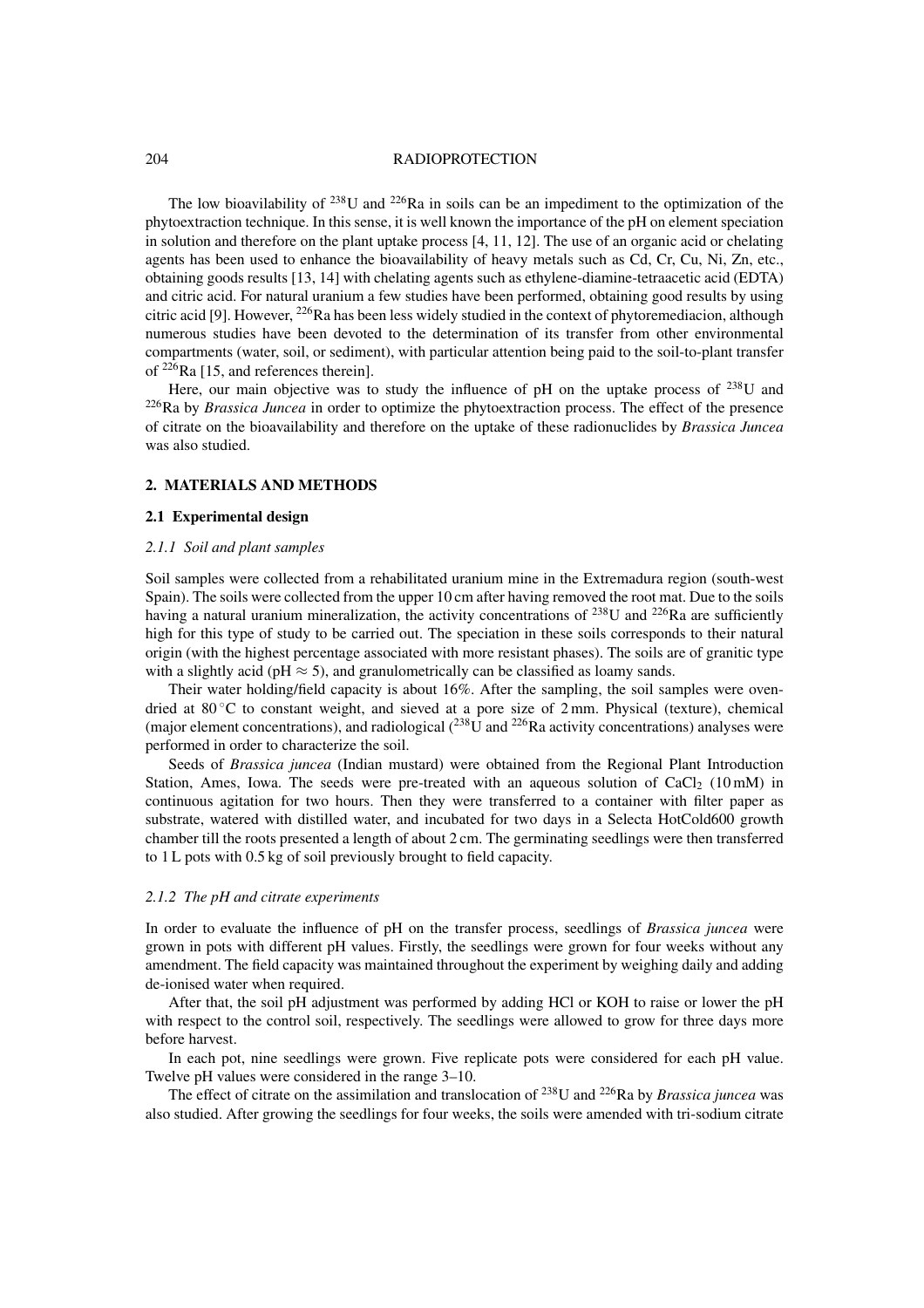#### 204 RADIOPROTECTION

The low bioavilability of  $238$ U and  $226$ Ra in soils can be an impediment to the optimization of the phytoextraction technique. In this sense, it is well known the importance of the pH on element speciation in solution and therefore on the plant uptake process  $[4, 11, 12]$ . The use of an organic acid or chelating agents has been used to enhance the bioavailability of heavy metals such as Cd, Cr, Cu, Ni, Zn, etc., obtaining goods results [13, 14] with chelating agents such as ethylene-diamine-tetraacetic acid (EDTA) and citric acid. For natural uranium a few studies have been performed, obtaining good results by using citric acid [9]. However, <sup>226</sup>Ra has been less widely studied in the context of phytoremediacion, although numerous studies have been devoted to the determination of its transfer from other environmental compartments (water, soil, or sediment), with particular attention being paid to the soil-to-plant transfer of 226Ra [15, and references therein].

Here, our main objective was to study the influence of pH on the uptake process of  $^{238}$ U and 226Ra by *Brassica Juncea* in order to optimize the phytoextraction process. The effect of the presence of citrate on the bioavailability and therefore on the uptake of these radionuclides by *Brassica Juncea* was also studied.

# **2. MATERIALS AND METHODS**

# **2.1 Experimental design**

#### *2.1.1 Soil and plant samples*

Soil samples were collected from a rehabilitated uranium mine in the Extremadura region (south-west Spain). The soils were collected from the upper 10 cm after having removed the root mat. Due to the soils having a natural uranium mineralization, the activity concentrations of <sup>238</sup>U and <sup>226</sup>Ra are sufficiently high for this type of study to be carried out. The speciation in these soils corresponds to their natural origin (with the highest percentage associated with more resistant phases). The soils are of granitic type with a slightly acid (pH  $\approx$  5), and granulometrically can be classified as loamy sands.

Their water holding/field capacity is about 16%. After the sampling, the soil samples were ovendried at  $80^{\circ}$ C to constant weight, and sieved at a pore size of 2 mm. Physical (texture), chemical (major element concentrations), and radiological  $(^{238}$ U and  $^{226}$ Ra activity concentrations) analyses were performed in order to characterize the soil.

Seeds of *Brassica juncea* (Indian mustard) were obtained from the Regional Plant Introduction Station, Ames, Iowa. The seeds were pre-treated with an aqueous solution of  $CaCl<sub>2</sub>$  (10 mM) in continuous agitation for two hours. Then they were transferred to a container with filter paper as substrate, watered with distilled water, and incubated for two days in a Selecta HotCold600 growth chamber till the roots presented a length of about 2 cm. The germinating seedlings were then transferred to 1 L pots with 0.5 kg of soil previously brought to field capacity.

## *2.1.2 The pH and citrate experiments*

In order to evaluate the influence of pH on the transfer process, seedlings of *Brassica juncea* were grown in pots with different pH values. Firstly, the seedlings were grown for four weeks without any amendment. The field capacity was maintained throughout the experiment by weighing daily and adding de-ionised water when required.

After that, the soil pH adjustment was performed by adding HCl or KOH to raise or lower the pH with respect to the control soil, respectively. The seedlings were allowed to grow for three days more before harvest.

In each pot, nine seedlings were grown. Five replicate pots were considered for each pH value. Twelve pH values were considered in the range 3–10.

The effect of citrate on the assimilation and translocation of 238U and 226Ra by *Brassica juncea* was also studied. After growing the seedlings for four weeks, the soils were amended with tri-sodium citrate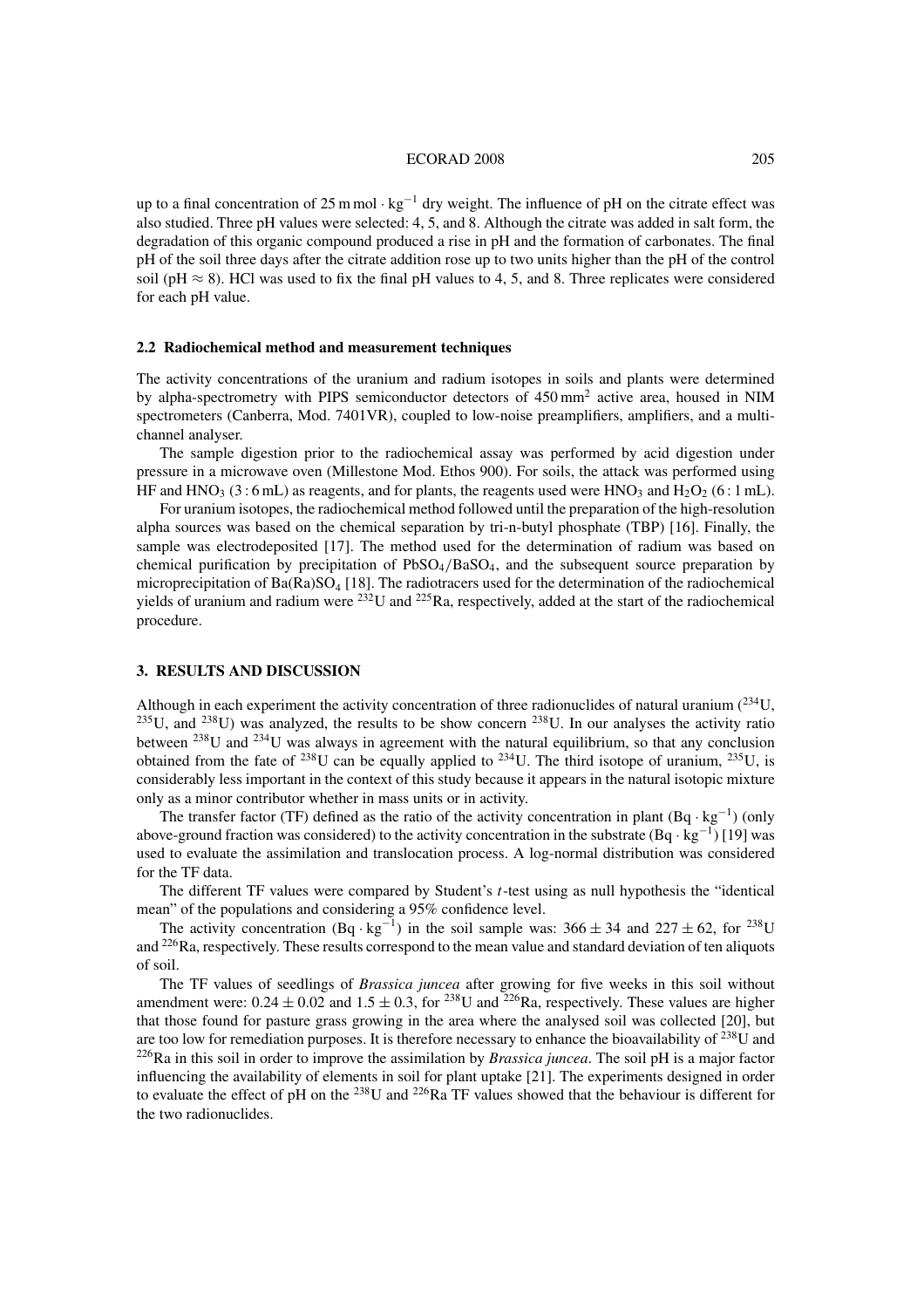#### ECORAD 2008 205

up to a final concentration of 25 m mol · kg−<sup>1</sup> dry weight. The influence of pH on the citrate effect was also studied. Three pH values were selected: 4, 5, and 8. Although the citrate was added in salt form, the degradation of this organic compound produced a rise in pH and the formation of carbonates. The final pH of the soil three days after the citrate addition rose up to two units higher than the pH of the control soil (pH  $\approx$  8). HCl was used to fix the final pH values to 4, 5, and 8. Three replicates were considered for each pH value.

#### **2.2 Radiochemical method and measurement techniques**

The activity concentrations of the uranium and radium isotopes in soils and plants were determined by alpha-spectrometry with PIPS semiconductor detectors of 450 mm<sup>2</sup> active area, housed in NIM spectrometers (Canberra, Mod. 7401VR), coupled to low-noise preamplifiers, amplifiers, and a multichannel analyser.

The sample digestion prior to the radiochemical assay was performed by acid digestion under pressure in a microwave oven (Millestone Mod. Ethos 900). For soils, the attack was performed using HF and HNO<sub>3</sub> (3:6 mL) as reagents, and for plants, the reagents used were HNO<sub>3</sub> and H<sub>2</sub>O<sub>2</sub> (6:1 mL).

For uranium isotopes, the radiochemical method followed until the preparation of the high-resolution alpha sources was based on the chemical separation by tri-n-butyl phosphate (TBP) [16]. Finally, the sample was electrodeposited [17]. The method used for the determination of radium was based on chemical purification by precipitation of PbSO4/BaSO4, and the subsequent source preparation by microprecipitation of  $Ba(Ra)SO<sub>4</sub>$  [18]. The radiotracers used for the determination of the radiochemical yields of uranium and radium were  $^{232}$ U and  $^{225}$ Ra, respectively, added at the start of the radiochemical procedure.

# **3. RESULTS AND DISCUSSION**

Although in each experiment the activity concentration of three radionuclides of natural uranium  $(^{234}U,$  $235$ U, and  $238$ U) was analyzed, the results to be show concern  $238$ U. In our analyses the activity ratio between 238U and 234U was always in agreement with the natural equilibrium, so that any conclusion obtained from the fate of <sup>238</sup>U can be equally applied to <sup>234</sup>U. The third isotope of uranium, <sup>235</sup>U, is considerably less important in the context of this study because it appears in the natural isotopic mixture only as a minor contributor whether in mass units or in activity.

The transfer factor (TF) defined as the ratio of the activity concentration in plant  $(Bq \cdot kg^{-1})$  (only above-ground fraction was considered) to the activity concentration in the substrate  $(Bq \cdot kg^{-1})$  [19] was used to evaluate the assimilation and translocation process. A log-normal distribution was considered for the TF data.

The different TF values were compared by Student's t-test using as null hypothesis the "identical mean" of the populations and considering a 95% confidence level.

The activity concentration (Bq · kg<sup>-1</sup>) in the soil sample was:  $366 \pm 34$  and  $227 \pm 62$ , for <sup>238</sup>U and <sup>226</sup>Ra, respectively. These results correspond to the mean value and standard deviation of ten aliquots of soil.

The TF values of seedlings of *Brassica juncea* after growing for five weeks in this soil without amendment were:  $0.24 \pm 0.02$  and  $1.5 \pm 0.3$ , for <sup>238</sup>U and <sup>226</sup>Ra, respectively. These values are higher that those found for pasture grass growing in the area where the analysed soil was collected [20], but are too low for remediation purposes. It is therefore necessary to enhance the bioavailability of  $^{238}$ U and 226Ra in this soil in order to improve the assimilation by *Brassica juncea*. The soil pH is a major factor influencing the availability of elements in soil for plant uptake [21]. The experiments designed in order to evaluate the effect of pH on the 238U and 226Ra TF values showed that the behaviour is different for the two radionuclides.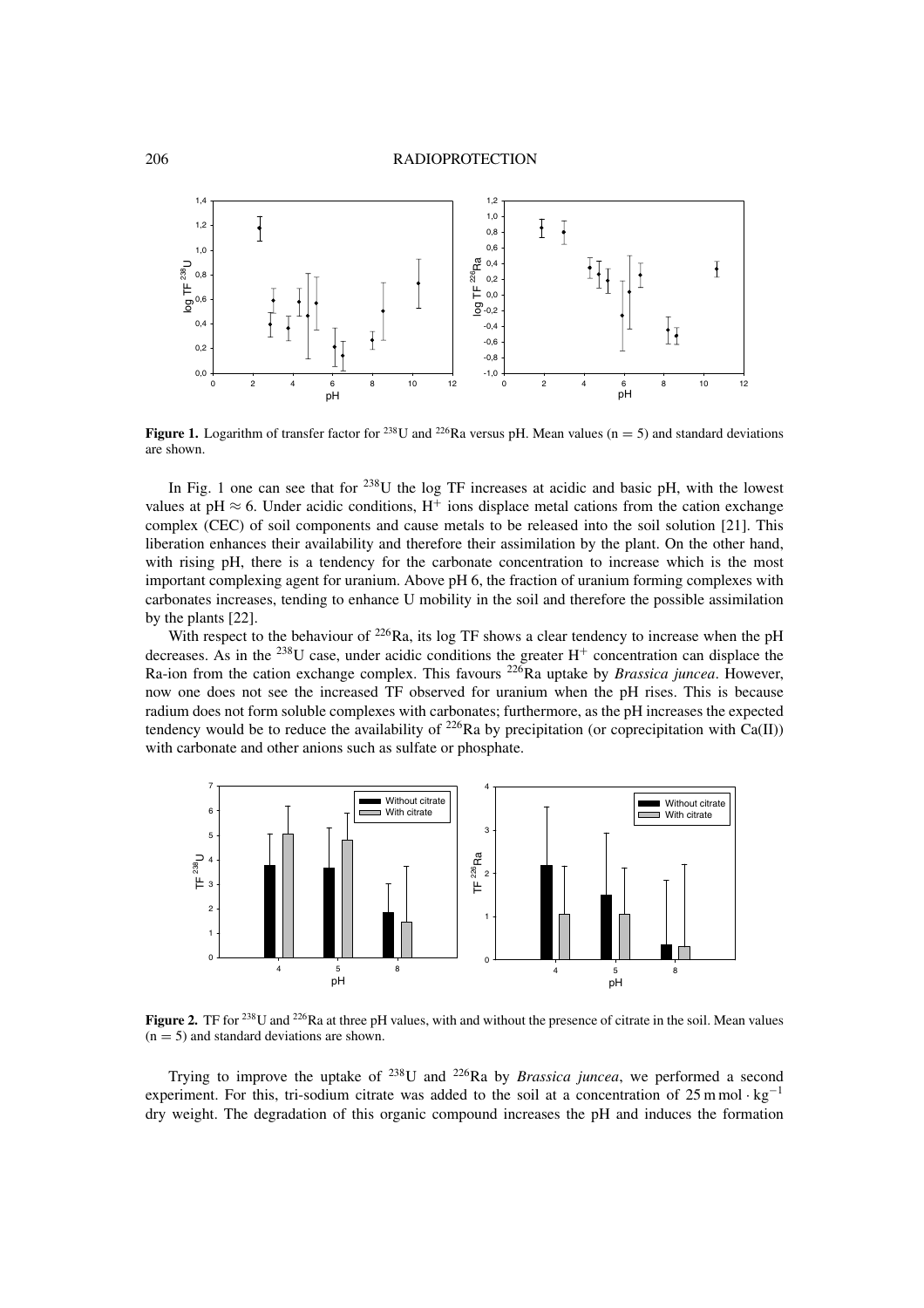

**Figure 1.** Logarithm of transfer factor for <sup>238</sup>U and <sup>226</sup>Ra versus pH. Mean values (n = 5) and standard deviations are shown.

In Fig. 1 one can see that for  $^{238}$ U the log TF increases at acidic and basic pH, with the lowest values at pH  $\approx$  6. Under acidic conditions, H<sup>+</sup> ions displace metal cations from the cation exchange complex (CEC) of soil components and cause metals to be released into the soil solution [21]. This liberation enhances their availability and therefore their assimilation by the plant. On the other hand, with rising pH, there is a tendency for the carbonate concentration to increase which is the most important complexing agent for uranium. Above pH 6, the fraction of uranium forming complexes with carbonates increases, tending to enhance U mobility in the soil and therefore the possible assimilation by the plants [22].

With respect to the behaviour of  $^{226}$ Ra, its log TF shows a clear tendency to increase when the pH decreases. As in the <sup>238</sup>U case, under acidic conditions the greater  $H^+$  concentration can displace the Ra-ion from the cation exchange complex. This favours 226Ra uptake by *Brassica juncea*. However, now one does not see the increased TF observed for uranium when the pH rises. This is because radium does not form soluble complexes with carbonates; furthermore, as the pH increases the expected tendency would be to reduce the availability of <sup>226</sup>Ra by precipitation (or coprecipitation with Ca(II)) with carbonate and other anions such as sulfate or phosphate.



**Figure 2.** TF for <sup>238</sup>U and <sup>226</sup>Ra at three pH values, with and without the presence of citrate in the soil. Mean values  $(n = 5)$  and standard deviations are shown.

Trying to improve the uptake of 238U and 226Ra by *Brassica juncea*, we performed a second experiment. For this, tri-sodium citrate was added to the soil at a concentration of 25 m mol · kg<sup>-1</sup> dry weight. The degradation of this organic compound increases the pH and induces the formation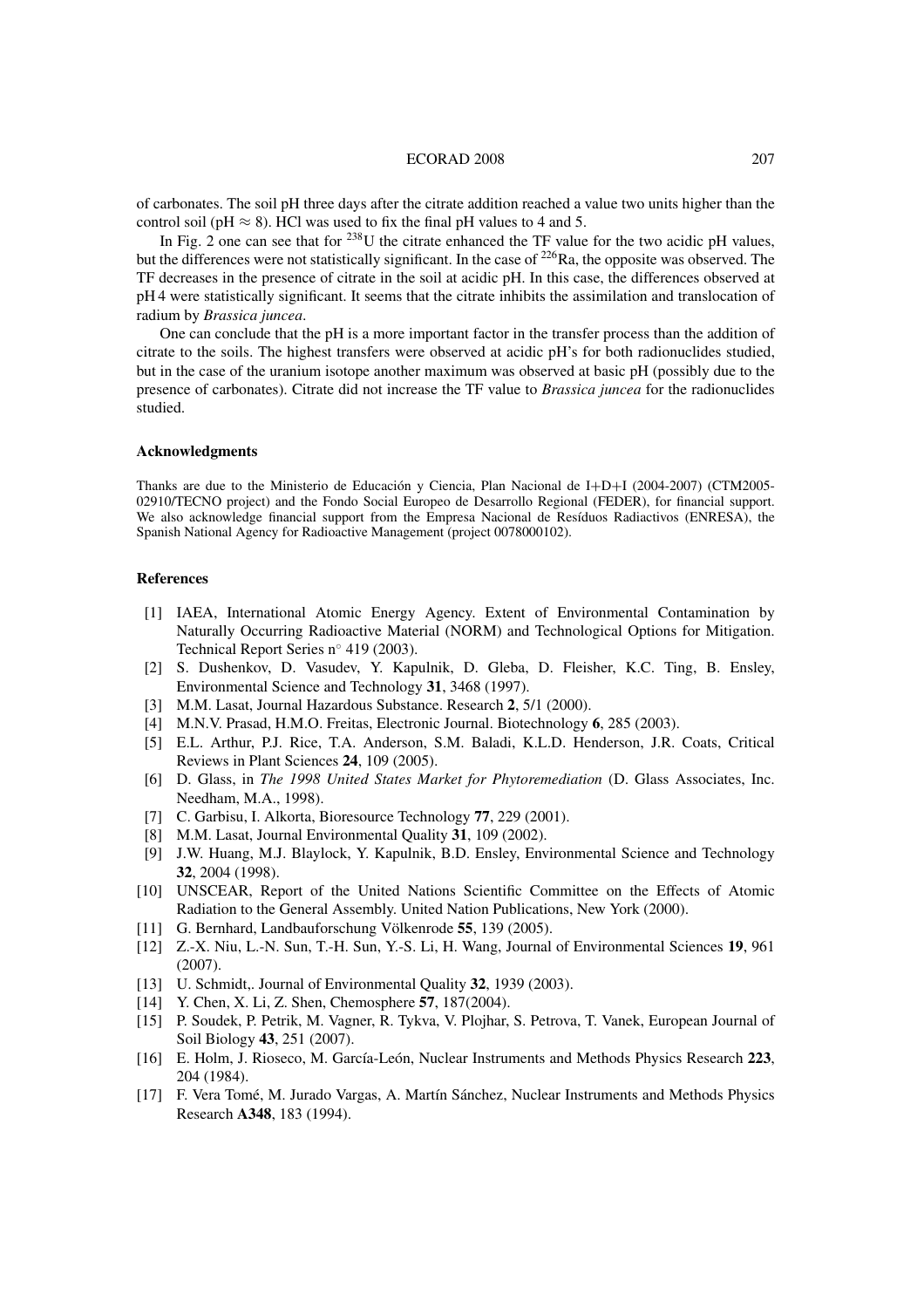#### ECORAD 2008 207

of carbonates. The soil pH three days after the citrate addition reached a value two units higher than the control soil (pH  $\approx$  8). HCl was used to fix the final pH values to 4 and 5.

In Fig. 2 one can see that for <sup>238</sup>U the citrate enhanced the TF value for the two acidic pH values, but the differences were not statistically significant. In the case of <sup>226</sup>Ra, the opposite was observed. The TF decreases in the presence of citrate in the soil at acidic pH. In this case, the differences observed at pH 4 were statistically significant. It seems that the citrate inhibits the assimilation and translocation of radium by *Brassica juncea*.

One can conclude that the pH is a more important factor in the transfer process than the addition of citrate to the soils. The highest transfers were observed at acidic pH's for both radionuclides studied, but in the case of the uranium isotope another maximum was observed at basic pH (possibly due to the presence of carbonates). Citrate did not increase the TF value to *Brassica juncea* for the radionuclides studied.

# **Acknowledgments**

Thanks are due to the Ministerio de Educación y Ciencia, Plan Nacional de I+D+I (2004-2007) (CTM2005- 02910/TECNO project) and the Fondo Social Europeo de Desarrollo Regional (FEDER), for financial support. We also acknowledge financial support from the Empresa Nacional de Resíduos Radiactivos (ENRESA), the Spanish National Agency for Radioactive Management (project 0078000102).

#### **References**

- [1] IAEA, International Atomic Energy Agency. Extent of Environmental Contamination by Naturally Occurring Radioactive Material (NORM) and Technological Options for Mitigation. Technical Report Series n◦ 419 (2003).
- [2] S. Dushenkov, D. Vasudev, Y. Kapulnik, D. Gleba, D. Fleisher, K.C. Ting, B. Ensley, Environmental Science and Technology **31**, 3468 (1997).
- [3] M.M. Lasat, Journal Hazardous Substance. Research **2**, 5/1 (2000).
- [4] M.N.V. Prasad, H.M.O. Freitas, Electronic Journal. Biotechnology **6**, 285 (2003).
- [5] E.L. Arthur, P.J. Rice, T.A. Anderson, S.M. Baladi, K.L.D. Henderson, J.R. Coats, Critical Reviews in Plant Sciences **24**, 109 (2005).
- [6] D. Glass, in *The 1998 United States Market for Phytoremediation* (D. Glass Associates, Inc. Needham, M.A., 1998).
- [7] C. Garbisu, I. Alkorta, Bioresource Technology **77**, 229 (2001).
- [8] M.M. Lasat, Journal Environmental Quality **31**, 109 (2002).
- [9] J.W. Huang, M.J. Blaylock, Y. Kapulnik, B.D. Ensley, Environmental Science and Technology **32**, 2004 (1998).
- [10] UNSCEAR, Report of the United Nations Scientific Committee on the Effects of Atomic Radiation to the General Assembly. United Nation Publications, New York (2000).
- [11] G. Bernhard, Landbauforschung Völkenrode **55**, 139 (2005).
- [12] Z.-X. Niu, L.-N. Sun, T.-H. Sun, Y.-S. Li, H. Wang, Journal of Environmental Sciences **19**, 961 (2007).
- [13] U. Schmidt,. Journal of Environmental Quality **32**, 1939 (2003).
- [14] Y. Chen, X. Li, Z. Shen, Chemosphere **57**, 187(2004).
- [15] P. Soudek, P. Petrik, M. Vagner, R. Tykva, V. Plojhar, S. Petrova, T. Vanek, European Journal of Soil Biology **43**, 251 (2007).
- [16] E. Holm, J. Rioseco, M. García-León, Nuclear Instruments and Methods Physics Research **223**, 204 (1984).
- [17] F. Vera Tomé, M. Jurado Vargas, A. Martín Sánchez, Nuclear Instruments and Methods Physics Research **A348**, 183 (1994).